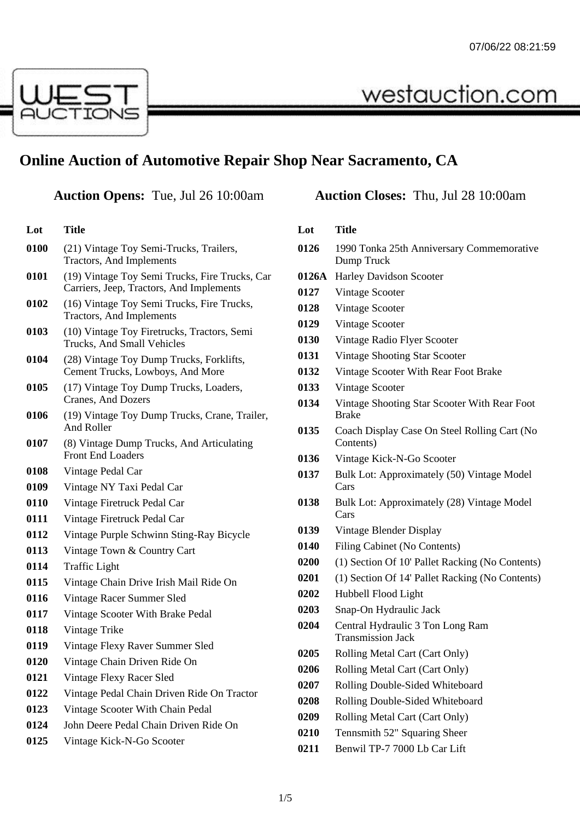westauction.com



**Lot Title**

# **Online Auction of Automotive Repair Shop Near Sacramento, CA**

## **Auction Opens:** Tue, Jul 26 10:00am **Auction Closes:** Thu, Jul 28 10:00am

| LUL  | 1 itie                                                                                     |  |
|------|--------------------------------------------------------------------------------------------|--|
| 0100 | (21) Vintage Toy Semi-Trucks, Trailers,<br><b>Tractors, And Implements</b>                 |  |
| 0101 | (19) Vintage Toy Semi Trucks, Fire Trucks, Car<br>Carriers, Jeep, Tractors, And Implements |  |
| 0102 | (16) Vintage Toy Semi Trucks, Fire Trucks,<br>Tractors, And Implements                     |  |
| 0103 | (10) Vintage Toy Firetrucks, Tractors, Semi<br>Trucks, And Small Vehicles                  |  |
| 0104 | (28) Vintage Toy Dump Trucks, Forklifts,<br>Cement Trucks, Lowboys, And More               |  |
| 0105 | (17) Vintage Toy Dump Trucks, Loaders,<br>Cranes, And Dozers                               |  |
| 0106 | (19) Vintage Toy Dump Trucks, Crane, Trailer,<br>And Roller                                |  |
| 0107 | (8) Vintage Dump Trucks, And Articulating<br><b>Front End Loaders</b>                      |  |
| 0108 | Vintage Pedal Car                                                                          |  |
| 0109 | Vintage NY Taxi Pedal Car                                                                  |  |
| 0110 | Vintage Firetruck Pedal Car                                                                |  |
| 0111 | Vintage Firetruck Pedal Car                                                                |  |
| 0112 | Vintage Purple Schwinn Sting-Ray Bicycle                                                   |  |
| 0113 | Vintage Town & Country Cart                                                                |  |
| 0114 | <b>Traffic Light</b>                                                                       |  |
| 0115 | Vintage Chain Drive Irish Mail Ride On                                                     |  |
| 0116 | Vintage Racer Summer Sled                                                                  |  |
| 0117 | Vintage Scooter With Brake Pedal                                                           |  |
| 0118 | Vintage Trike                                                                              |  |
| 0119 | Vintage Flexy Raver Summer Sled                                                            |  |
| 0120 | Vintage Chain Driven Ride On                                                               |  |
| 0121 | Vintage Flexy Racer Sled                                                                   |  |
| 0122 | Vintage Pedal Chain Driven Ride On Tractor                                                 |  |
| 0123 | Vintage Scooter With Chain Pedal                                                           |  |
| 0124 | John Deere Pedal Chain Driven Ride On                                                      |  |
| 0125 | Vintage Kick-N-Go Scooter                                                                  |  |

#### **Lot Title** 1990 Tonka 25th Anniversary Commemorative Dump Truck **0126A** Harley Davidson Scooter Vintage Scooter Vintage Scooter Vintage Scooter Vintage Radio Flyer Scooter Vintage Shooting Star Scooter Vintage Scooter With Rear Foot Brake Vintage Scooter Vintage Shooting Star Scooter With Rear Foot Brake Coach Display Case On Steel Rolling Cart (No Contents) Vintage Kick-N-Go Scooter Bulk Lot: Approximately (50) Vintage Model Cars Bulk Lot: Approximately (28) Vintage Model Cars Vintage Blender Display Filing Cabinet (No Contents) (1) Section Of 10' Pallet Racking (No Contents) (1) Section Of 14' Pallet Racking (No Contents) Hubbell Flood Light Snap-On Hydraulic Jack Central Hydraulic 3 Ton Long Ram Transmission Jack

- Rolling Metal Cart (Cart Only)
- Rolling Metal Cart (Cart Only)
- Rolling Double-Sided Whiteboard
- Rolling Double-Sided Whiteboard
- Rolling Metal Cart (Cart Only)
- Tennsmith 52" Squaring Sheer
- Benwil TP-7 7000 Lb Car Lift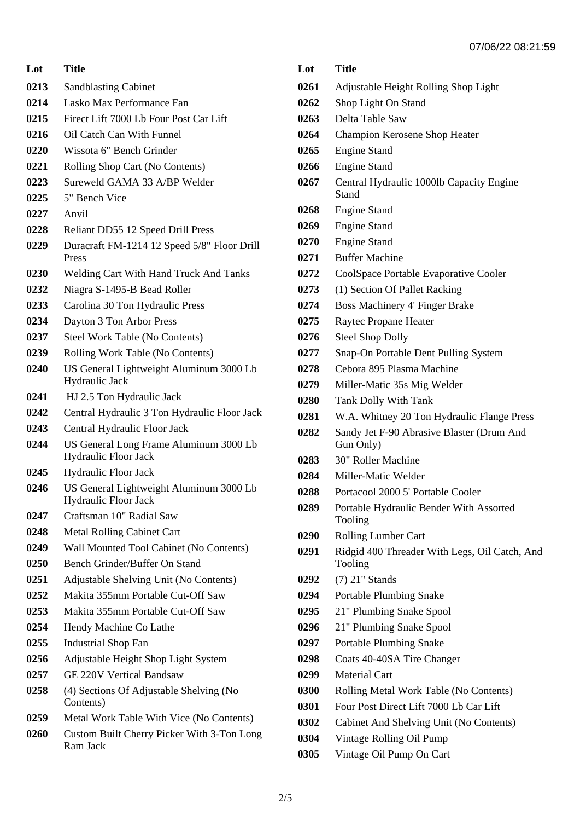**Lot Title** Sandblasting Cabinet Lasko Max Performance Fan Firect Lift 7000 Lb Four Post Car Lift Oil Catch Can With Funnel Wissota 6" Bench Grinder Rolling Shop Cart (No Contents) Sureweld GAMA 33 A/BP Welder 5" Bench Vice Anvil Reliant DD55 12 Speed Drill Press Duracraft FM-1214 12 Speed 5/8" Floor Drill Press Welding Cart With Hand Truck And Tanks Niagra S-1495-B Bead Roller Carolina 30 Ton Hydraulic Press Dayton 3 Ton Arbor Press Steel Work Table (No Contents) Rolling Work Table (No Contents) US General Lightweight Aluminum 3000 Lb Hydraulic Jack HJ 2.5 Ton Hydraulic Jack Central Hydraulic 3 Ton Hydraulic Floor Jack Central Hydraulic Floor Jack US General Long Frame Aluminum 3000 Lb Hydraulic Floor Jack Hydraulic Floor Jack US General Lightweight Aluminum 3000 Lb Hydraulic Floor Jack Craftsman 10" Radial Saw Metal Rolling Cabinet Cart Wall Mounted Tool Cabinet (No Contents) Bench Grinder/Buffer On Stand Adjustable Shelving Unit (No Contents) Makita 355mm Portable Cut-Off Saw Makita 355mm Portable Cut-Off Saw Hendy Machine Co Lathe Industrial Shop Fan Adjustable Height Shop Light System GE 220V Vertical Bandsaw (4) Sections Of Adjustable Shelving (No Contents) Metal Work Table With Vice (No Contents) Custom Built Cherry Picker With 3-Ton Long Ram Jack

## **Lot Title** Adjustable Height Rolling Shop Light Shop Light On Stand Delta Table Saw Champion Kerosene Shop Heater Engine Stand Engine Stand Central Hydraulic 1000lb Capacity Engine Stand Engine Stand Engine Stand Engine Stand Buffer Machine CoolSpace Portable Evaporative Cooler (1) Section Of Pallet Racking Boss Machinery 4' Finger Brake Raytec Propane Heater Steel Shop Dolly Snap-On Portable Dent Pulling System Cebora 895 Plasma Machine Miller-Matic 35s Mig Welder Tank Dolly With Tank W.A. Whitney 20 Ton Hydraulic Flange Press Sandy Jet F-90 Abrasive Blaster (Drum And Gun Only) 30" Roller Machine Miller-Matic Welder Portacool 2000 5' Portable Cooler Portable Hydraulic Bender With Assorted Tooling Rolling Lumber Cart Ridgid 400 Threader With Legs, Oil Catch, And Tooling (7) 21" Stands Portable Plumbing Snake 21" Plumbing Snake Spool 21" Plumbing Snake Spool Portable Plumbing Snake Coats 40-40SA Tire Changer Material Cart Rolling Metal Work Table (No Contents) Four Post Direct Lift 7000 Lb Car Lift Cabinet And Shelving Unit (No Contents) Vintage Rolling Oil Pump

Vintage Oil Pump On Cart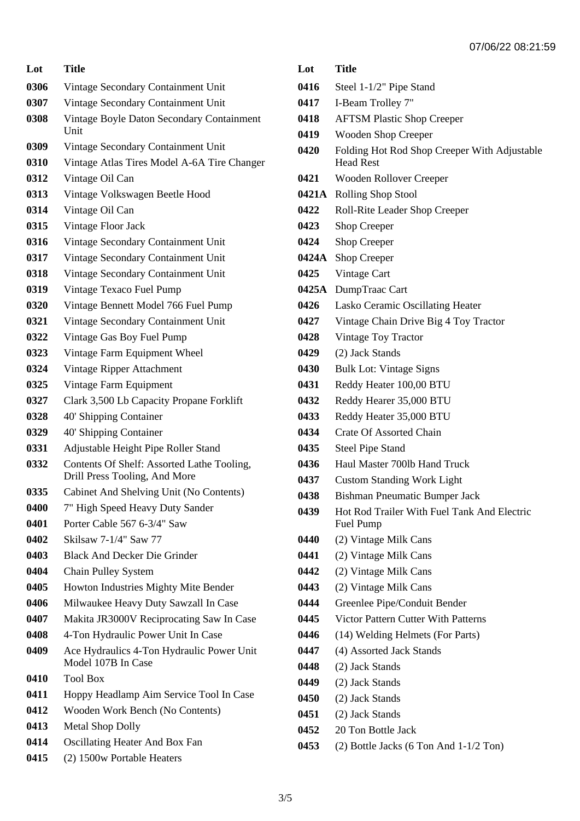| Lot  | <b>Title</b>                                                                |  |
|------|-----------------------------------------------------------------------------|--|
| 0306 | Vintage Secondary Containment Unit                                          |  |
| 0307 | Vintage Secondary Containment Unit                                          |  |
| 0308 | Vintage Boyle Daton Secondary Containment<br>Unit                           |  |
| 0309 | Vintage Secondary Containment Unit                                          |  |
| 0310 | Vintage Atlas Tires Model A-6A Tire Changer                                 |  |
| 0312 | Vintage Oil Can                                                             |  |
| 0313 | Vintage Volkswagen Beetle Hood                                              |  |
| 0314 | Vintage Oil Can                                                             |  |
| 0315 | Vintage Floor Jack                                                          |  |
| 0316 | Vintage Secondary Containment Unit                                          |  |
| 0317 | Vintage Secondary Containment Unit                                          |  |
| 0318 | Vintage Secondary Containment Unit                                          |  |
| 0319 | Vintage Texaco Fuel Pump                                                    |  |
| 0320 | Vintage Bennett Model 766 Fuel Pump                                         |  |
| 0321 | Vintage Secondary Containment Unit                                          |  |
| 0322 | Vintage Gas Boy Fuel Pump                                                   |  |
| 0323 | Vintage Farm Equipment Wheel                                                |  |
| 0324 | Vintage Ripper Attachment                                                   |  |
| 0325 | Vintage Farm Equipment                                                      |  |
| 0327 | Clark 3,500 Lb Capacity Propane Forklift                                    |  |
| 0328 | 40' Shipping Container                                                      |  |
| 0329 | 40' Shipping Container                                                      |  |
| 0331 | Adjustable Height Pipe Roller Stand                                         |  |
| 0332 | Contents Of Shelf: Assorted Lathe Tooling,<br>Drill Press Tooling, And More |  |
| 0335 | Cabinet And Shelving Unit (No Contents)                                     |  |
| 0400 | 7" High Speed Heavy Duty Sander                                             |  |
| 0401 | Porter Cable 567 6-3/4" Saw                                                 |  |
| 0402 | Skilsaw 7-1/4" Saw 77                                                       |  |
| 0403 | <b>Black And Decker Die Grinder</b>                                         |  |
| 0404 | Chain Pulley System                                                         |  |
| 0405 | Howton Industries Mighty Mite Bender                                        |  |
| 0406 | Milwaukee Heavy Duty Sawzall In Case                                        |  |
| 0407 | Makita JR3000V Reciprocating Saw In Case                                    |  |
| 0408 | 4-Ton Hydraulic Power Unit In Case                                          |  |
| 0409 | Ace Hydraulics 4-Ton Hydraulic Power Unit<br>Model 107B In Case             |  |
| 0410 | <b>Tool Box</b>                                                             |  |
| 0411 | Hoppy Headlamp Aim Service Tool In Case                                     |  |
| 0412 | Wooden Work Bench (No Contents)                                             |  |
| 0413 | <b>Metal Shop Dolly</b>                                                     |  |
| 0414 | <b>Oscillating Heater And Box Fan</b>                                       |  |
| 0415 | (2) 1500w Portable Heaters                                                  |  |

| Lot   | <b>Title</b>                                                     |
|-------|------------------------------------------------------------------|
| 0416  | Steel 1-1/2" Pipe Stand                                          |
| 0417  | I-Beam Trolley 7"                                                |
| 0418  | <b>AFTSM Plastic Shop Creeper</b>                                |
| 0419  | <b>Wooden Shop Creeper</b>                                       |
| 0420  | Folding Hot Rod Shop Creeper With Adjustable<br><b>Head Rest</b> |
| 0421  | Wooden Rollover Creeper                                          |
|       | 0421A Rolling Shop Stool                                         |
| 0422  | Roll-Rite Leader Shop Creeper                                    |
| 0423  | <b>Shop Creeper</b>                                              |
| 0424  | Shop Creeper                                                     |
| 0424A | Shop Creeper                                                     |
| 0425  | Vintage Cart                                                     |
|       | 0425A DumpTraac Cart                                             |
| 0426  | Lasko Ceramic Oscillating Heater                                 |
| 0427  | Vintage Chain Drive Big 4 Toy Tractor                            |
| 0428  | Vintage Toy Tractor                                              |
| 0429  | (2) Jack Stands                                                  |
| 0430  | <b>Bulk Lot: Vintage Signs</b>                                   |
| 0431  | Reddy Heater 100,00 BTU                                          |
| 0432  | Reddy Hearer 35,000 BTU                                          |
| 0433  | Reddy Heater 35,000 BTU                                          |
| 0434  | <b>Crate Of Assorted Chain</b>                                   |
| 0435  | <b>Steel Pipe Stand</b>                                          |
| 0436  | Haul Master 700lb Hand Truck                                     |
| 0437  | <b>Custom Standing Work Light</b>                                |
| 0438  | <b>Bishman Pneumatic Bumper Jack</b>                             |
| 0439  | Hot Rod Trailer With Fuel Tank And Electric<br>Fuel Pump         |
| 0440  | (2) Vintage Milk Cans                                            |
| 0441  | (2) Vintage Milk Cans                                            |
| 0442  | (2) Vintage Milk Cans                                            |
| 0443  | (2) Vintage Milk Cans                                            |
| 0444  | Greenlee Pipe/Conduit Bender                                     |
| 0445  | Victor Pattern Cutter With Patterns                              |
| 0446  | (14) Welding Helmets (For Parts)                                 |
| 0447  | (4) Assorted Jack Stands                                         |
| 0448  | (2) Jack Stands                                                  |
| 0449  | (2) Jack Stands                                                  |
| 0450  | (2) Jack Stands                                                  |
| 0451  | (2) Jack Stands                                                  |
| 0452  | 20 Ton Bottle Jack                                               |

(2) Bottle Jacks (6 Ton And 1-1/2 Ton)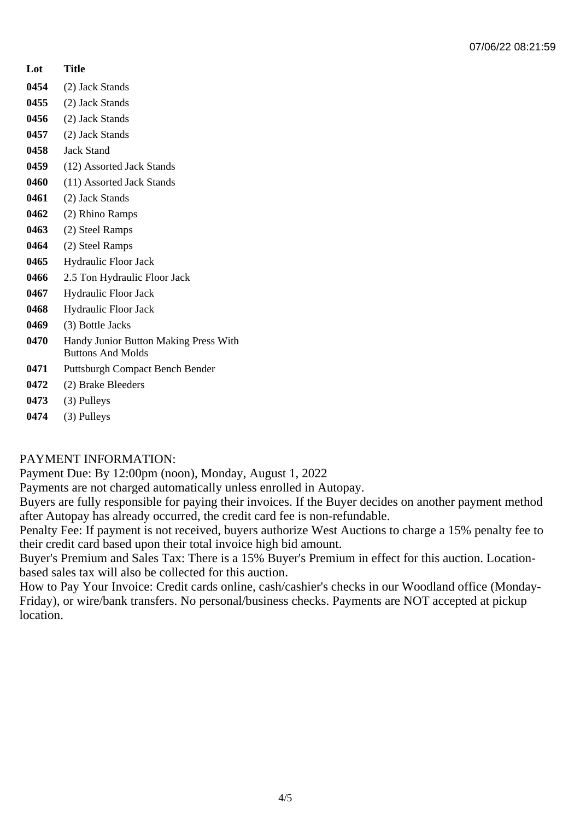#### **Lot Title**

- **0454** (2) Jack Stands
- **0455** (2) Jack Stands
- **0456** (2) Jack Stands
- **0457** (2) Jack Stands
- **0458** Jack Stand
- **0459** (12) Assorted Jack Stands
- **0460** (11) Assorted Jack Stands
- **0461** (2) Jack Stands
- **0462** (2) Rhino Ramps
- **0463** (2) Steel Ramps
- **0464** (2) Steel Ramps
- **0465** Hydraulic Floor Jack
- **0466** 2.5 Ton Hydraulic Floor Jack
- **0467** Hydraulic Floor Jack
- **0468** Hydraulic Floor Jack
- **0469** (3) Bottle Jacks
- **0470** Handy Junior Button Making Press With Buttons And Molds
- **0471** Puttsburgh Compact Bench Bender
- **0472** (2) Brake Bleeders
- **0473** (3) Pulleys
- **0474** (3) Pulleys

#### PAYMENT INFORMATION:

Payment Due: By 12:00pm (noon), Monday, August 1, 2022

Payments are not charged automatically unless enrolled in Autopay.

Buyers are fully responsible for paying their invoices. If the Buyer decides on another payment method after Autopay has already occurred, the credit card fee is non-refundable.

Penalty Fee: If payment is not received, buyers authorize West Auctions to charge a 15% penalty fee to their credit card based upon their total invoice high bid amount.

Buyer's Premium and Sales Tax: There is a 15% Buyer's Premium in effect for this auction. Locationbased sales tax will also be collected for this auction.

How to Pay Your Invoice: Credit cards online, cash/cashier's checks in our Woodland office (Monday-Friday), or wire/bank transfers. No personal/business checks. Payments are NOT accepted at pickup location.